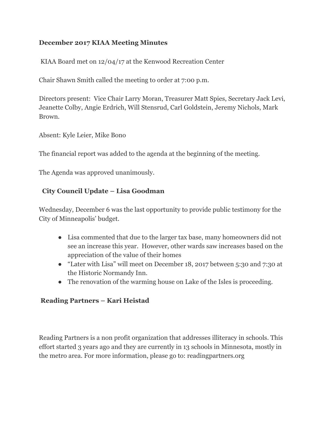#### **December 2017 KIAA Meeting Minutes**

KIAA Board met on 12/04/17 at the Kenwood Recreation Center

Chair Shawn Smith called the meeting to order at 7:00 p.m.

Directors present: Vice Chair Larry Moran, Treasurer Matt Spies, Secretary Jack Levi, Jeanette Colby, Angie Erdrich, Will Stensrud, Carl Goldstein, Jeremy Nichols, Mark Brown.

Absent: Kyle Leier, Mike Bono

The financial report was added to the agenda at the beginning of the meeting.

The Agenda was approved unanimously.

#### **City Council Update – Lisa Goodman**

Wednesday, December 6 was the last opportunity to provide public testimony for the City of Minneapolis' budget.

- Lisa commented that due to the larger tax base, many homeowners did not see an increase this year. However, other wards saw increases based on the appreciation of the value of their homes
- "Later with Lisa" will meet on December 18, 2017 between 5:30 and 7:30 at the Historic Normandy Inn.
- The renovation of the warming house on Lake of the Isles is proceeding.

#### **Reading Partners – Kari Heistad**

Reading Partners is a non profit organization that addresses illiteracy in schools. This effort started 3 years ago and they are currently in 13 schools in Minnesota, mostly in the metro area. For more information, please go to: readingpartners.org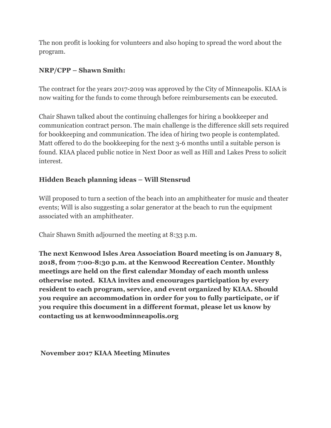The non profit is looking for volunteers and also hoping to spread the word about the program.

#### **NRP/CPP – Shawn Smith:**

The contract for the years 2017-2019 was approved by the City of Minneapolis. KIAA is now waiting for the funds to come through before reimbursements can be executed.

Chair Shawn talked about the continuing challenges for hiring a bookkeeper and communication contract person. The main challenge is the difference skill sets required for bookkeeping and communication. The idea of hiring two people is contemplated. Matt offered to do the bookkeeping for the next 3-6 months until a suitable person is found. KIAA placed public notice in Next Door as well as Hill and Lakes Press to solicit interest.

#### **Hidden Beach planning ideas – Will Stensrud**

Will proposed to turn a section of the beach into an amphitheater for music and theater events; Will is also suggesting a solar generator at the beach to run the equipment associated with an amphitheater.

Chair Shawn Smith adjourned the meeting at 8:33 p.m.

**The next Kenwood Isles Area Association Board meeting is on January 8, 2018, from 7:00-8:30 p.m. at the Kenwood Recreation Center. Monthly meetings are held on the first calendar Monday of each month unless otherwise noted. KIAA invites and encourages participation by every resident to each program, service, and event organized by KIAA. Should you require an accommodation in order for you to fully participate, or if you require this document in a different format, please let us know by contacting us at kenwoodminneapolis.org**

 **November 2017 KIAA Meeting Minutes**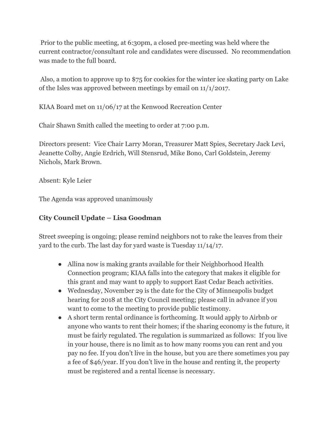Prior to the public meeting, at 6:30pm, a closed pre-meeting was held where the current contractor/consultant role and candidates were discussed. No recommendation was made to the full board.

 Also, a motion to approve up to \$75 for cookies for the winter ice skating party on Lake of the Isles was approved between meetings by email on 11/1/2017.

KIAA Board met on 11/06/17 at the Kenwood Recreation Center

Chair Shawn Smith called the meeting to order at 7:00 p.m.

Directors present: Vice Chair Larry Moran, Treasurer Matt Spies, Secretary Jack Levi, Jeanette Colby, Angie Erdrich, Will Stensrud, Mike Bono, Carl Goldstein, Jeremy Nichols, Mark Brown.

Absent: Kyle Leier

The Agenda was approved unanimously

#### **City Council Update – Lisa Goodman**

Street sweeping is ongoing; please remind neighbors not to rake the leaves from their yard to the curb. The last day for yard waste is Tuesday 11/14/17.

- Allina now is making grants available for their Neighborhood Health Connection program; KIAA falls into the category that makes it eligible for this grant and may want to apply to support East Cedar Beach activities.
- Wednesday, November 29 is the date for the City of Minneapolis budget hearing for 2018 at the City Council meeting; please call in advance if you want to come to the meeting to provide public testimony.
- A short term rental ordinance is forthcoming. It would apply to Airbnb or anyone who wants to rent their homes; if the sharing economy is the future, it must be fairly regulated. The regulation is summarized as follows: If you live in your house, there is no limit as to how many rooms you can rent and you pay no fee. If you don't live in the house, but you are there sometimes you pay a fee of \$46/year. If you don't live in the house and renting it, the property must be registered and a rental license is necessary.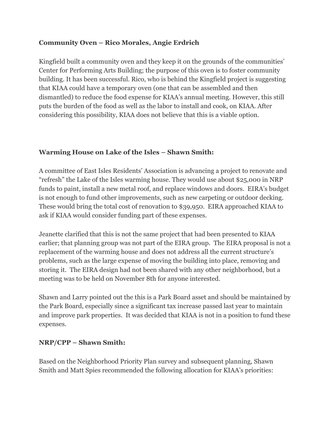#### **Community Oven – Rico Morales, Angie Erdrich**

Kingfield built a community oven and they keep it on the grounds of the communities' Center for Performing Arts Building; the purpose of this oven is to foster community building. It has been successful. Rico, who is behind the Kingfield project is suggesting that KIAA could have a temporary oven (one that can be assembled and then dismantled) to reduce the food expense for KIAA's annual meeting. However, this still puts the burden of the food as well as the labor to install and cook, on KIAA. After considering this possibility, KIAA does not believe that this is a viable option.

#### **Warming House on Lake of the Isles – Shawn Smith:**

A committee of East Isles Residents' Association is advancing a project to renovate and "refresh" the Lake of the Isles warming house. They would use about \$25,000 in NRP funds to paint, install a new metal roof, and replace windows and doors. EIRA's budget is not enough to fund other improvements, such as new carpeting or outdoor decking. These would bring the total cost of renovation to \$39,950. EIRA approached KIAA to ask if KIAA would consider funding part of these expenses.

Jeanette clarified that this is not the same project that had been presented to KIAA earlier; that planning group was not part of the EIRA group. The EIRA proposal is not a replacement of the warming house and does not address all the current structure's problems, such as the large expense of moving the building into place, removing and storing it. The EIRA design had not been shared with any other neighborhood, but a meeting was to be held on November 8th for anyone interested.

Shawn and Larry pointed out the this is a Park Board asset and should be maintained by the Park Board, especially since a significant tax increase passed last year to maintain and improve park properties. It was decided that KIAA is not in a position to fund these expenses.

#### **NRP/CPP – Shawn Smith:**

Based on the Neighborhood Priority Plan survey and subsequent planning, Shawn Smith and Matt Spies recommended the following allocation for KIAA's priorities: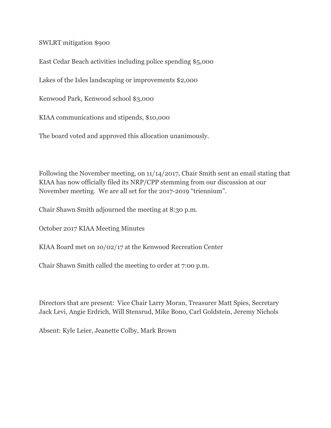SWLRT mitigation \$900

East Cedar Beach activities including police spending \$5,000

Lakes of the Isles landscaping or improvements \$2,000

Kenwood Park, Kenwood school \$3,000

KIAA communications and stipends, \$10,000

The board voted and approved this allocation unanimously.

Following the November meeting, on 11/14/2017, Chair Smith sent an email stating that KIAA has now officially filed its NRP/CPP stemming from our discussion at our November meeting. We are all set for the 2017-2019 "triennium".

Chair Shawn Smith adjourned the meeting at 8:30 p.m.

October 2017 KIAA Meeting Minutes

KIAA Board met on 10/02/17 at the Kenwood Recreation Center

Chair Shawn Smith called the meeting to order at 7:00 p.m.

Directors that are present: Vice Chair Larry Moran, Treasurer Matt Spies, Secretary Jack Levi, Angie Erdrich, Will Stensrud, Mike Bono, Carl Goldstein, Jeremy Nichols

Absent: Kyle Leier, Jeanette Colby, Mark Brown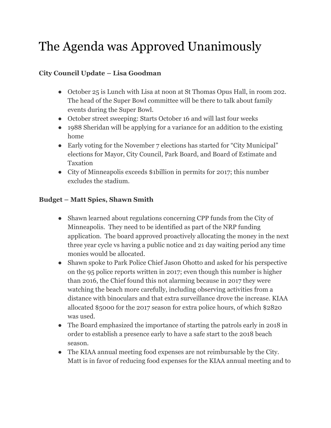### The Agenda was Approved Unanimously

#### **City Council Update – Lisa Goodman**

- October 25 is Lunch with Lisa at noon at St Thomas Opus Hall, in room 202. The head of the Super Bowl committee will be there to talk about family events during the Super Bowl.
- October street sweeping: Starts October 16 and will last four weeks
- 1988 Sheridan will be applying for a variance for an addition to the existing home
- Early voting for the November 7 elections has started for "City Municipal" elections for Mayor, City Council, Park Board, and Board of Estimate and Taxation
- City of Minneapolis exceeds \$1billion in permits for 2017; this number excludes the stadium.

#### **Budget – Matt Spies, Shawn Smith**

- Shawn learned about regulations concerning CPP funds from the City of Minneapolis. They need to be identified as part of the NRP funding application. The board approved proactively allocating the money in the next three year cycle vs having a public notice and 21 day waiting period any time monies would be allocated.
- Shawn spoke to Park Police Chief Jason Ohotto and asked for his perspective on the 95 police reports written in 2017; even though this number is higher than 2016, the Chief found this not alarming because in 2017 they were watching the beach more carefully, including observing activities from a distance with binoculars and that extra surveillance drove the increase. KIAA allocated \$5000 for the 2017 season for extra police hours, of which \$2820 was used.
- The Board emphasized the importance of starting the patrols early in 2018 in order to establish a presence early to have a safe start to the 2018 beach season.
- The KIAA annual meeting food expenses are not reimbursable by the City. Matt is in favor of reducing food expenses for the KIAA annual meeting and to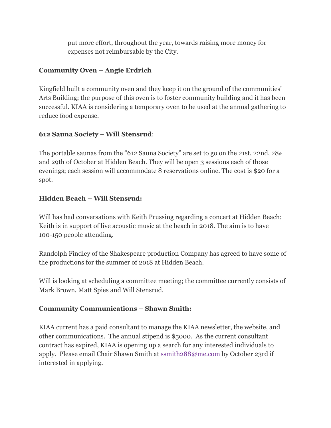put more effort, throughout the year, towards raising more money for expenses not reimbursable by the City.

#### **Community Oven – Angie Erdrich**

Kingfield built a community oven and they keep it on the ground of the communities' Arts Building; the purpose of this oven is to foster community building and it has been successful. KIAA is considering a temporary oven to be used at the annual gathering to reduce food expense.

#### **612 Sauna Society** – **Will Stensrud**:

The portable saunas from the "612 Sauna Society" are set to go on the 21st, 22nd, 28th and 29th of October at Hidden Beach. They will be open 3 sessions each of those evenings; each session will accommodate 8 reservations online. The cost is \$20 for a spot.

#### **Hidden Beach – Will Stensrud:**

Will has had conversations with Keith Prussing regarding a concert at Hidden Beach; Keith is in support of live acoustic music at the beach in 2018. The aim is to have 100-150 people attending.

Randolph Findley of the Shakespeare production Company has agreed to have some of the productions for the summer of 2018 at Hidden Beach.

Will is looking at scheduling a committee meeting; the committee currently consists of Mark Brown, Matt Spies and Will Stensrud.

#### **Community Communications – Shawn Smith:**

KIAA current has a paid consultant to manage the KIAA newsletter, the website, and other communications. The annual stipend is \$5000. As the current consultant contract has expired, KIAA is opening up a search for any interested individuals to apply. Please email Chair Shawn Smith at ssmith288@me.com by October 23rd if interested in applying.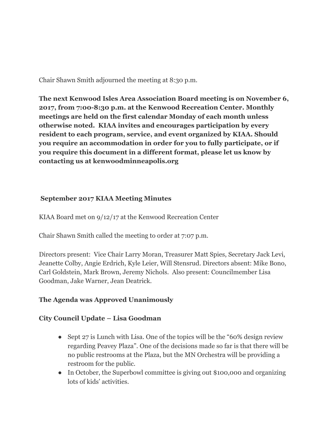Chair Shawn Smith adjourned the meeting at 8:30 p.m.

**The next Kenwood Isles Area Association Board meeting is on November 6, 2017, from 7:00-8:30 p.m. at the Kenwood Recreation Center. Monthly meetings are held on the first calendar Monday of each month unless otherwise noted. KIAA invites and encourages participation by every resident to each program, service, and event organized by KIAA. Should you require an accommodation in order for you to fully participate, or if you require this document in a different format, please let us know by contacting us at kenwoodminneapolis.org**

#### **September 2017 KIAA Meeting Minutes**

KIAA Board met on 9/12/17 at the Kenwood Recreation Center

Chair Shawn Smith called the meeting to order at 7:07 p.m.

Directors present: Vice Chair Larry Moran, Treasurer Matt Spies, Secretary Jack Levi, Jeanette Colby, Angie Erdrich, Kyle Leier, Will Stensrud. Directors absent: Mike Bono, Carl Goldstein, Mark Brown, Jeremy Nichols. Also present: Councilmember Lisa Goodman, Jake Warner, Jean Deatrick.

#### **The Agenda was Approved Unanimously**

#### **City Council Update – Lisa Goodman**

- Sept 27 is Lunch with Lisa. One of the topics will be the "60% design review" regarding Peavey Plaza". One of the decisions made so far is that there will be no public restrooms at the Plaza, but the MN Orchestra will be providing a restroom for the public.
- In October, the Superbowl committee is giving out \$100,000 and organizing lots of kids' activities.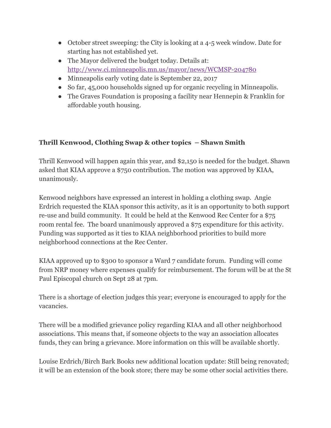- October street sweeping: the City is looking at a 4-5 week window. Date for starting has not established yet.
- The Mayor delivered the budget today. Details at: <http://www.ci.minneapolis.mn.us/mayor/news/WCMSP-204780>
- Minneapolis early voting date is September 22, 2017
- So far, 45,000 households signed up for organic recycling in Minneapolis.
- The Graves Foundation is proposing a facility near Hennepin & Franklin for affordable youth housing.

#### **Thrill Kenwood, Clothing Swap & other topics – Shawn Smith**

Thrill Kenwood will happen again this year, and \$2,150 is needed for the budget. Shawn asked that KIAA approve a \$750 contribution. The motion was approved by KIAA, unanimously.

Kenwood neighbors have expressed an interest in holding a clothing swap. Angie Erdrich requested the KIAA sponsor this activity, as it is an opportunity to both support re-use and build community. It could be held at the Kenwood Rec Center for a \$75 room rental fee. The board unanimously approved a \$75 expenditure for this activity. Funding was supported as it ties to KIAA neighborhood priorities to build more neighborhood connections at the Rec Center.

KIAA approved up to \$300 to sponsor a Ward 7 candidate forum. Funding will come from NRP money where expenses qualify for reimbursement. The forum will be at the St Paul Episcopal church on Sept 28 at 7pm.

There is a shortage of election judges this year; everyone is encouraged to apply for the vacancies.

There will be a modified grievance policy regarding KIAA and all other neighborhood associations. This means that, if someone objects to the way an association allocates funds, they can bring a grievance. More information on this will be available shortly.

Louise Erdrich/Birch Bark Books new additional location update: Still being renovated; it will be an extension of the book store; there may be some other social activities there.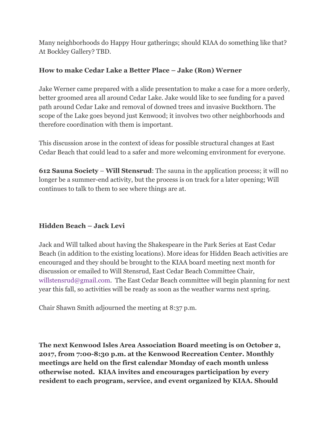Many neighborhoods do Happy Hour gatherings; should KIAA do something like that? At Bockley Gallery? TBD.

#### **How to make Cedar Lake a Better Place – Jake (Ron) Werner**

Jake Werner came prepared with a slide presentation to make a case for a more orderly, better groomed area all around Cedar Lake. Jake would like to see funding for a paved path around Cedar Lake and removal of downed trees and invasive Buckthorn. The scope of the Lake goes beyond just Kenwood; it involves two other neighborhoods and therefore coordination with them is important.

This discussion arose in the context of ideas for possible structural changes at East Cedar Beach that could lead to a safer and more welcoming environment for everyone.

**612 Sauna Society** – **Will Stensrud**: The sauna in the application process; it will no longer be a summer-end activity, but the process is on track for a later opening; Will continues to talk to them to see where things are at.

#### **Hidden Beach – Jack Levi**

Jack and Will talked about having the Shakespeare in the Park Series at East Cedar Beach (in addition to the existing locations). More ideas for Hidden Beach activities are encouraged and they should be brought to the KIAA board meeting next month for discussion or emailed to Will Stensrud, East Cedar Beach Committee Chair, willstensrud@gmail.com. The East Cedar Beach committee will begin planning for next year this fall, so activities will be ready as soon as the weather warms next spring.

Chair Shawn Smith adjourned the meeting at 8:37 p.m.

**The next Kenwood Isles Area Association Board meeting is on October 2, 2017, from 7:00-8:30 p.m. at the Kenwood Recreation Center. Monthly meetings are held on the first calendar Monday of each month unless otherwise noted. KIAA invites and encourages participation by every resident to each program, service, and event organized by KIAA. Should**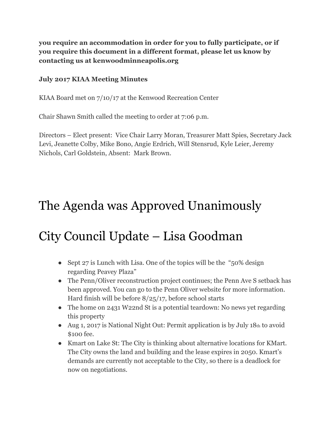**you require an accommodation in order for you to fully participate, or if you require this document in a different format, please let us know by contacting us at kenwoodminneapolis.org**

#### **July 2017 KIAA Meeting Minutes**

KIAA Board met on 7/10/17 at the Kenwood Recreation Center

Chair Shawn Smith called the meeting to order at 7:06 p.m.

Directors – Elect present: Vice Chair Larry Moran, Treasurer Matt Spies, Secretary Jack Levi, Jeanette Colby, Mike Bono, Angie Erdrich, Will Stensrud, Kyle Leier, Jeremy Nichols, Carl Goldstein, Absent: Mark Brown.

### The Agenda was Approved Unanimously

### City Council Update – Lisa Goodman

- Sept 27 is Lunch with Lisa. One of the topics will be the "50% design" regarding Peavey Plaza"
- The Penn/Oliver reconstruction project continues; the Penn Ave S setback has been approved. You can go to the Penn Oliver website for more information. Hard finish will be before 8/25/17, before school starts
- The home on 2431 W22nd St is a potential teardown: No news yet regarding this property
- Aug 1, 2017 is National Night Out: Permit application is by July 18th to avoid \$100 fee.
- Kmart on Lake St: The City is thinking about alternative locations for KMart. The City owns the land and building and the lease expires in 2050. Kmart's demands are currently not acceptable to the City, so there is a deadlock for now on negotiations.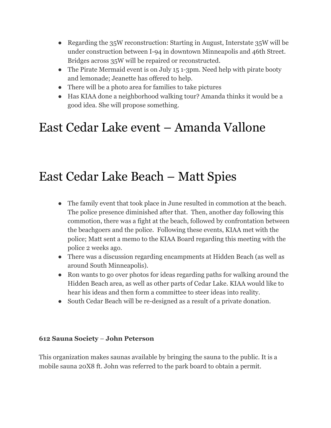- Regarding the 35W reconstruction: Starting in August, Interstate 35W will be under construction between I-94 in downtown Minneapolis and 46th Street. Bridges across 35W will be repaired or reconstructed.
- The Pirate Mermaid event is on July 15 1-3pm. Need help with pirate booty and lemonade; Jeanette has offered to help.
- There will be a photo area for families to take pictures
- Has KIAA done a neighborhood walking tour? Amanda thinks it would be a good idea. She will propose something.

### East Cedar Lake event – Amanda Vallone

### East Cedar Lake Beach – Matt Spies

- The family event that took place in June resulted in commotion at the beach. The police presence diminished after that. Then, another day following this commotion, there was a fight at the beach, followed by confrontation between the beachgoers and the police. Following these events, KIAA met with the police; Matt sent a memo to the KIAA Board regarding this meeting with the police 2 weeks ago.
- There was a discussion regarding encampments at Hidden Beach (as well as around South Minneapolis).
- Ron wants to go over photos for ideas regarding paths for walking around the Hidden Beach area, as well as other parts of Cedar Lake. KIAA would like to hear his ideas and then form a committee to steer ideas into reality.
- South Cedar Beach will be re-designed as a result of a private donation.

#### **612 Sauna Society** – **John Peterson**

This organization makes saunas available by bringing the sauna to the public. It is a mobile sauna 20X8 ft. John was referred to the park board to obtain a permit.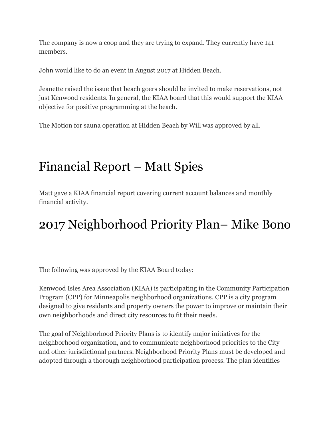The company is now a coop and they are trying to expand. They currently have 141 members.

John would like to do an event in August 2017 at Hidden Beach.

Jeanette raised the issue that beach goers should be invited to make reservations, not just Kenwood residents. In general, the KIAA board that this would support the KIAA objective for positive programming at the beach.

The Motion for sauna operation at Hidden Beach by Will was approved by all.

### Financial Report – Matt Spies

Matt gave a KIAA financial report covering current account balances and monthly financial activity.

### 2017 Neighborhood Priority Plan– Mike Bono

The following was approved by the KIAA Board today:

Kenwood Isles Area Association (KIAA) is participating in the Community Participation Program (CPP) for Minneapolis neighborhood organizations. CPP is a city program designed to give residents and property owners the power to improve or maintain their own neighborhoods and direct city resources to fit their needs.

The goal of Neighborhood Priority Plans is to identify major initiatives for the neighborhood organization, and to communicate neighborhood priorities to the City and other jurisdictional partners. Neighborhood Priority Plans must be developed and adopted through a thorough neighborhood participation process. The plan identifies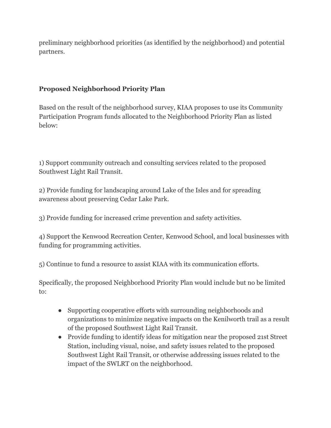preliminary neighborhood priorities (as identified by the neighborhood) and potential partners.

#### **Proposed Neighborhood Priority Plan**

Based on the result of the neighborhood survey, KIAA proposes to use its Community Participation Program funds allocated to the Neighborhood Priority Plan as listed below:

1) Support community outreach and consulting services related to the proposed Southwest Light Rail Transit.

2) Provide funding for landscaping around Lake of the Isles and for spreading awareness about preserving Cedar Lake Park.

3) Provide funding for increased crime prevention and safety activities.

4) Support the Kenwood Recreation Center, Kenwood School, and local businesses with funding for programming activities.

5) Continue to fund a resource to assist KIAA with its communication efforts.

Specifically, the proposed Neighborhood Priority Plan would include but no be limited to:

- Supporting cooperative efforts with surrounding neighborhoods and organizations to minimize negative impacts on the Kenilworth trail as a result of the proposed Southwest Light Rail Transit.
- Provide funding to identify ideas for mitigation near the proposed 21st Street Station, including visual, noise, and safety issues related to the proposed Southwest Light Rail Transit, or otherwise addressing issues related to the impact of the SWLRT on the neighborhood.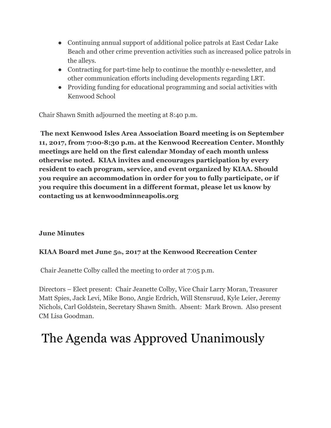- Continuing annual support of additional police patrols at East Cedar Lake Beach and other crime prevention activities such as increased police patrols in the alleys.
- Contracting for part-time help to continue the monthly e-newsletter, and other communication efforts including developments regarding LRT.
- Providing funding for educational programming and social activities with Kenwood School

Chair Shawn Smith adjourned the meeting at 8:40 p.m.

 **The next Kenwood Isles Area Association Board meeting is on September 11, 2017, from 7:00-8:30 p.m. at the Kenwood Recreation Center. Monthly meetings are held on the first calendar Monday of each month unless otherwise noted. KIAA invites and encourages participation by every resident to each program, service, and event organized by KIAA. Should you require an accommodation in order for you to fully participate, or if you require this document in a different format, please let us know by contacting us at kenwoodminneapolis.org**

#### **June Minutes**

#### **KIAA Board met June 5th, 2017 at the Kenwood Recreation Center**

Chair Jeanette Colby called the meeting to order at 7:05 p.m.

Directors – Elect present: Chair Jeanette Colby, Vice Chair Larry Moran, Treasurer Matt Spies, Jack Levi, Mike Bono, Angie Erdrich, Will Stensruud, Kyle Leier, Jeremy Nichols, Carl Goldstein, Secretary Shawn Smith. Absent: Mark Brown. Also present CM Lisa Goodman.

### The Agenda was Approved Unanimously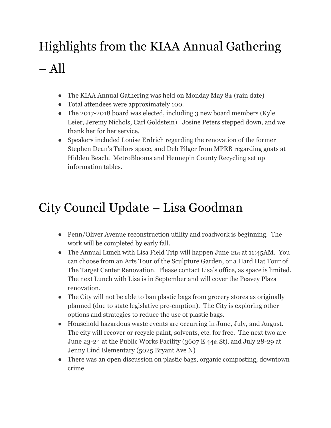## Highlights from the KIAA Annual Gathering – All

- The KIAA Annual Gathering was held on Monday May  $8<sub>th</sub>$  (rain date)
- Total attendees were approximately 100.
- The 2017-2018 board was elected, including 3 new board members (Kyle Leier, Jeremy Nichols, Carl Goldstein). Josine Peters stepped down, and we thank her for her service.
- Speakers included Louise Erdrich regarding the renovation of the former Stephen Dean's Tailors space, and Deb Pilger from MPRB regarding goats at Hidden Beach. MetroBlooms and Hennepin County Recycling set up information tables.

### City Council Update – Lisa Goodman

- Penn/Oliver Avenue reconstruction utility and roadwork is beginning. The work will be completed by early fall.
- The Annual Lunch with Lisa Field Trip will happen June 21st at 11:45AM. You can choose from an Arts Tour of the Sculpture Garden, or a Hard Hat Tour of The Target Center Renovation. Please contact Lisa's office, as space is limited. The next Lunch with Lisa is in September and will cover the Peavey Plaza renovation.
- The City will not be able to ban plastic bags from grocery stores as originally planned (due to state legislative pre-emption). The City is exploring other options and strategies to reduce the use of plastic bags.
- Household hazardous waste events are occurring in June, July, and August. The city will recover or recycle paint, solvents, etc. for free. The next two are June 23-24 at the Public Works Facility (3607 E 44th St), and July 28-29 at Jenny Lind Elementary (5025 Bryant Ave N)
- There was an open discussion on plastic bags, organic composting, downtown crime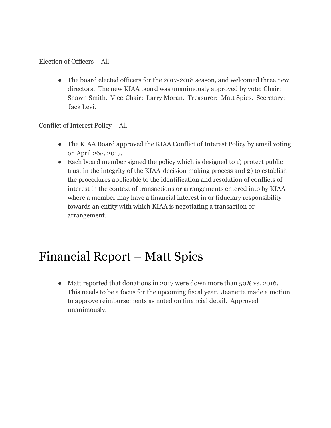#### Election of Officers – All

• The board elected officers for the 2017-2018 season, and welcomed three new directors. The new KIAA board was unanimously approved by vote; Chair: Shawn Smith. Vice-Chair: Larry Moran. Treasurer: Matt Spies. Secretary: Jack Levi.

Conflict of Interest Policy – All

- The KIAA Board approved the KIAA Conflict of Interest Policy by email voting on April 26th, 2017.
- Each board member signed the policy which is designed to 1) protect public trust in the integrity of the KIAA-decision making process and 2) to establish the procedures applicable to the identification and resolution of conflicts of interest in the context of transactions or arrangements entered into by KIAA where a member may have a financial interest in or fiduciary responsibility towards an entity with which KIAA is negotiating a transaction or arrangement.

### Financial Report – Matt Spies

• Matt reported that donations in 2017 were down more than 50% vs. 2016. This needs to be a focus for the upcoming fiscal year. Jeanette made a motion to approve reimbursements as noted on financial detail. Approved unanimously.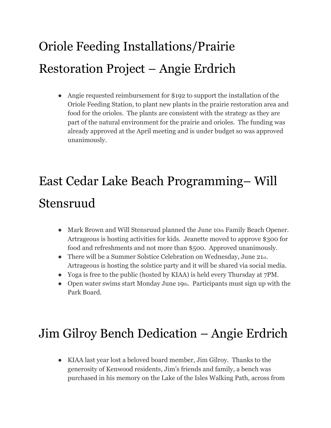## Oriole Feeding Installations/Prairie Restoration Project – Angie Erdrich

● Angie requested reimbursement for \$192 to support the installation of the Oriole Feeding Station, to plant new plants in the prairie restoration area and food for the orioles. The plants are consistent with the strategy as they are part of the natural environment for the prairie and orioles. The funding was already approved at the April meeting and is under budget so was approved unanimously.

## East Cedar Lake Beach Programming– Will Stensruud

- Mark Brown and Will Stensruud planned the June 10th Family Beach Opener. Artrageous is hosting activities for kids. Jeanette moved to approve \$300 for food and refreshments and not more than \$500. Approved unanimously.
- There will be a Summer Solstice Celebration on Wednesday, June 21st. Artrageous is hosting the solstice party and it will be shared via social media.
- Yoga is free to the public (hosted by KIAA) is held every Thursday at 7PM.
- Open water swims start Monday June 19th. Participants must sign up with the Park Board.

### Jim Gilroy Bench Dedication – Angie Erdrich

● KIAA last year lost a beloved board member, Jim Gilroy. Thanks to the generosity of Kenwood residents, Jim's friends and family, a bench was purchased in his memory on the Lake of the Isles Walking Path, across from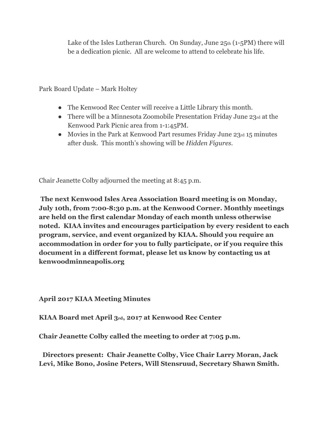Lake of the Isles Lutheran Church. On Sunday, June  $25th$  (1-5PM) there will be a dedication picnic. All are welcome to attend to celebrate his life.

Park Board Update – Mark Holtey

- The Kenwood Rec Center will receive a Little Library this month.
- There will be a Minnesota Zoomobile Presentation Friday June 23rd at the Kenwood Park Picnic area from 1-1:45PM.
- Movies in the Park at Kenwood Part resumes Friday June 23rd 15 minutes after dusk. This month's showing will be *Hidden Figures*.

Chair Jeanette Colby adjourned the meeting at 8:45 p.m.

 **The next Kenwood Isles Area Association Board meeting is on Monday, July 10th, from 7:00-8:30 p.m. at the Kenwood Corner. Monthly meetings are held on the first calendar Monday of each month unless otherwise noted. KIAA invites and encourages participation by every resident to each program, service, and event organized by KIAA. Should you require an accommodation in order for you to fully participate, or if you require this document in a different format, please let us know by contacting us at kenwoodminneapolis.org**

**April 2017 KIAA Meeting Minutes**

**KIAA Board met April 3rd, 2017 at Kenwood Rec Center**

**Chair Jeanette Colby called the meeting to order at 7:05 p.m.**

**Directors present: Chair Jeanette Colby, Vice Chair Larry Moran, Jack Levi, Mike Bono, Josine Peters, Will Stensruud, Secretary Shawn Smith.**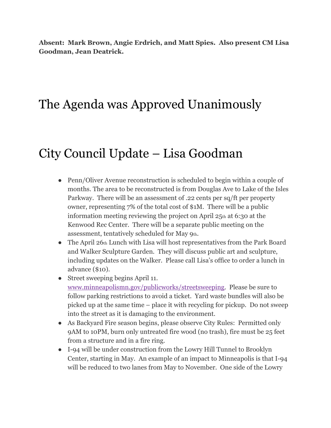**Absent: Mark Brown, Angie Erdrich, and Matt Spies. Also present CM Lisa Goodman, Jean Deatrick.**

### The Agenda was Approved Unanimously

### City Council Update – Lisa Goodman

- Penn/Oliver Avenue reconstruction is scheduled to begin within a couple of months. The area to be reconstructed is from Douglas Ave to Lake of the Isles Parkway. There will be an assessment of .22 cents per sq/ft per property owner, representing 7% of the total cost of \$1M. There will be a public information meeting reviewing the project on April 25th at 6:30 at the Kenwood Rec Center. There will be a separate public meeting on the assessment, tentatively scheduled for May 9th.
- The April 26th Lunch with Lisa will host representatives from the Park Board and Walker Sculpture Garden. They will discuss public art and sculpture, including updates on the Walker. Please call Lisa's office to order a lunch in advance (\$10).
- Street sweeping begins April 11. [www.minneapolismn.gov/publicworks/streetsweeping.](http://www.minneapolis.gov/streetsweeping) Please be sure to follow parking restrictions to avoid a ticket. Yard waste bundles will also be picked up at the same time – place it with recycling for pickup. Do not sweep into the street as it is damaging to the environment.
- As Backyard Fire season begins, please observe City Rules: Permitted only 9AM to 10PM, burn only untreated fire wood (no trash), fire must be 25 feet from a structure and in a fire ring.
- I-94 will be under construction from the Lowry Hill Tunnel to Brooklyn Center, starting in May. An example of an impact to Minneapolis is that I-94 will be reduced to two lanes from May to November. One side of the Lowry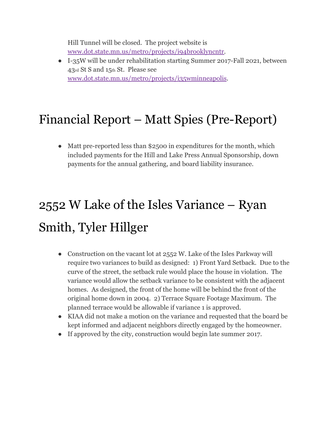Hill Tunnel will be closed. The project website is [www.dot.state.mn.us/metro/projects/i94brooklyncntr.](http://www.dot.state.mn.us/metro/projects/i94brooklyncntr)

● I-35W will be under rehabilitation starting Summer 2017-Fall 2021, between 43rd St S and 15th St. Please see [www.dot.state.mn.us/metro/projects/i35wminneapolis](http://www.dot.state.mn.us/metro/projects/i35wminneapolis).

### Financial Report – Matt Spies (Pre-Report)

• Matt pre-reported less than \$2500 in expenditures for the month, which included payments for the Hill and Lake Press Annual Sponsorship, down payments for the annual gathering, and board liability insurance.

## 2552 W Lake of the Isles Variance – Ryan Smith, Tyler Hillger

- Construction on the vacant lot at 2552 W. Lake of the Isles Parkway will require two variances to build as designed: 1) Front Yard Setback. Due to the curve of the street, the setback rule would place the house in violation. The variance would allow the setback variance to be consistent with the adjacent homes. As designed, the front of the home will be behind the front of the original home down in 2004. 2) Terrace Square Footage Maximum. The planned terrace would be allowable if variance 1 is approved.
- KIAA did not make a motion on the variance and requested that the board be kept informed and adjacent neighbors directly engaged by the homeowner.
- If approved by the city, construction would begin late summer 2017.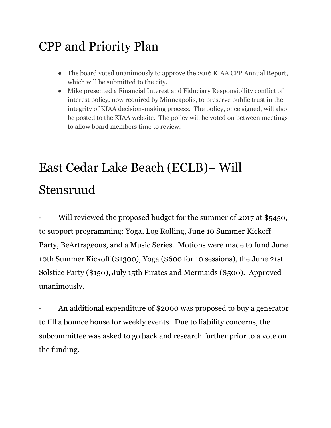### CPP and Priority Plan

- The board voted unanimously to approve the 2016 KIAA CPP Annual Report, which will be submitted to the city.
- Mike presented a Financial Interest and Fiduciary Responsibility conflict of interest policy, now required by Minneapolis, to preserve public trust in the integrity of KIAA decision-making process. The policy, once signed, will also be posted to the KIAA website. The policy will be voted on between meetings to allow board members time to review.

## East Cedar Lake Beach (ECLB)– Will Stensruud

Will reviewed the proposed budget for the summer of 2017 at \$5450, to support programming: Yoga, Log Rolling, June 10 Summer Kickoff Party, BeArtrageous, and a Music Series. Motions were made to fund June 10th Summer Kickoff (\$1300), Yoga (\$600 for 10 sessions), the June 21st Solstice Party (\$150), July 15th Pirates and Mermaids (\$500). Approved unanimously.

An additional expenditure of \$2000 was proposed to buy a generator to fill a bounce house for weekly events. Due to liability concerns, the subcommittee was asked to go back and research further prior to a vote on the funding.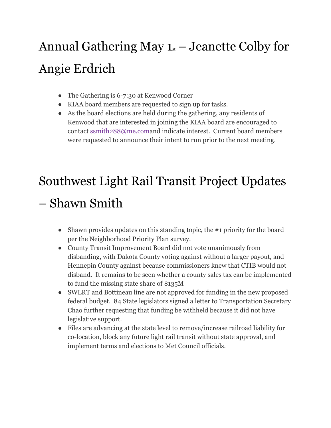## Annual Gathering May  $1_{st}$  – Jeanette Colby for Angie Erdrich

- The Gathering is 6-7:30 at Kenwood Corner
- KIAA board members are requested to sign up for tasks.
- As the board elections are held during the gathering, any residents of Kenwood that are interested in joining the KIAA board are encouraged to contact ssmith288@me.comand indicate interest. Current board members were requested to announce their intent to run prior to the next meeting.

# Southwest Light Rail Transit Project Updates

### – Shawn Smith

- Shawn provides updates on this standing topic, the  $#1$  priority for the board per the Neighborhood Priority Plan survey.
- County Transit Improvement Board did not vote unanimously from disbanding, with Dakota County voting against without a larger payout, and Hennepin County against because commissioners knew that CTIB would not disband. It remains to be seen whether a county sales tax can be implemented to fund the missing state share of \$135M
- SWLRT and Bottineau line are not approved for funding in the new proposed federal budget. 84 State legislators signed a letter to Transportation Secretary Chao further requesting that funding be withheld because it did not have legislative support.
- Files are advancing at the state level to remove/increase railroad liability for co-location, block any future light rail transit without state approval, and implement terms and elections to Met Council officials.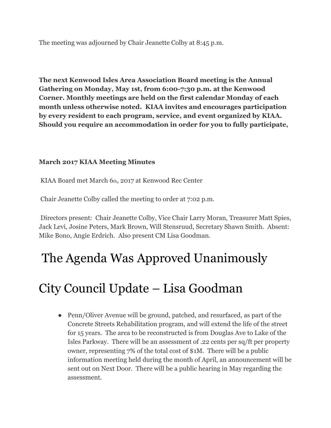The meeting was adjourned by Chair Jeanette Colby at 8:45 p.m.

**The next Kenwood Isles Area Association Board meeting is the Annual Gathering on Monday, May 1st, from 6:00-7:30 p.m. at the Kenwood Corner. Monthly meetings are held on the first calendar Monday of each month unless otherwise noted. KIAA invites and encourages participation by every resident to each program, service, and event organized by KIAA. Should you require an accommodation in order for you to fully participate,**

#### **March 2017 KIAA Meeting Minutes**

KIAA Board met March 6th, 2017 at Kenwood Rec Center

Chair Jeanette Colby called the meeting to order at 7:02 p.m.

 Directors present: Chair Jeanette Colby, Vice Chair Larry Moran, Treasurer Matt Spies, Jack Levi, Josine Peters, Mark Brown, Will Stensruud, Secretary Shawn Smith. Absent: Mike Bono, Angie Erdrich. Also present CM Lisa Goodman.

### The Agenda Was Approved Unanimously

### City Council Update – Lisa Goodman

• Penn/Oliver Avenue will be ground, patched, and resurfaced, as part of the Concrete Streets Rehabilitation program, and will extend the life of the street for 15 years. The area to be reconstructed is from Douglas Ave to Lake of the Isles Parkway. There will be an assessment of .22 cents per sq/ft per property owner, representing 7% of the total cost of \$1M. There will be a public information meeting held during the month of April, an announcement will be sent out on Next Door. There will be a public hearing in May regarding the assessment.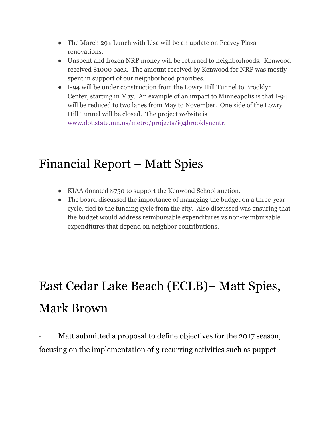- The March 29th Lunch with Lisa will be an update on Peavey Plaza renovations.
- Unspent and frozen NRP money will be returned to neighborhoods. Kenwood received \$1000 back. The amount received by Kenwood for NRP was mostly spent in support of our neighborhood priorities.
- I-94 will be under construction from the Lowry Hill Tunnel to Brooklyn Center, starting in May. An example of an impact to Minneapolis is that I-94 will be reduced to two lanes from May to November. One side of the Lowry Hill Tunnel will be closed. The project website is [www.dot.state.mn.us/metro/projects/i94brooklyncntr.](http://www.dot.state.mn.us/metro/projects/i94brooklyncntr)

### Financial Report – Matt Spies

- KIAA donated \$750 to support the Kenwood School auction.
- The board discussed the importance of managing the budget on a three-year cycle, tied to the funding cycle from the city. Also discussed was ensuring that the budget would address reimbursable expenditures vs non-reimbursable expenditures that depend on neighbor contributions.

## East Cedar Lake Beach (ECLB)– Matt Spies, Mark Brown

Matt submitted a proposal to define objectives for the 2017 season, focusing on the implementation of 3 recurring activities such as puppet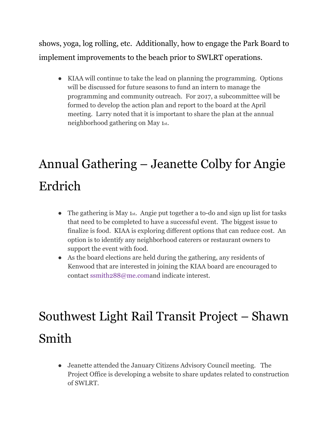shows, yoga, log rolling, etc. Additionally, how to engage the Park Board to implement improvements to the beach prior to SWLRT operations.

● KIAA will continue to take the lead on planning the programming. Options will be discussed for future seasons to fund an intern to manage the programming and community outreach. For 2017, a subcommittee will be formed to develop the action plan and report to the board at the April meeting. Larry noted that it is important to share the plan at the annual neighborhood gathering on May 1st.

## Annual Gathering – Jeanette Colby for Angie Erdrich

- The gathering is May 1st. Angie put together a to-do and sign up list for tasks that need to be completed to have a successful event. The biggest issue to finalize is food. KIAA is exploring different options that can reduce cost. An option is to identify any neighborhood caterers or restaurant owners to support the event with food.
- As the board elections are held during the gathering, any residents of Kenwood that are interested in joining the KIAA board are encouraged to contact ssmith288@me.comand indicate interest.

## Southwest Light Rail Transit Project – Shawn Smith

● Jeanette attended the January Citizens Advisory Council meeting. The Project Office is developing a website to share updates related to construction of SWLRT.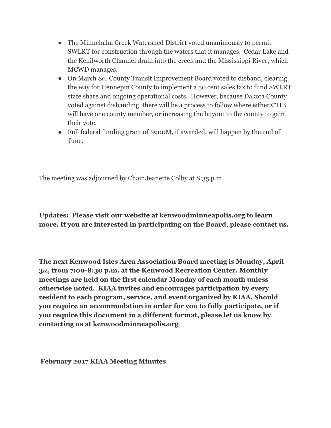- The Minnehaha Creek Watershed District voted unanimously to permit SWLRT for construction through the waters that it manages. Cedar Lake and the Kenilworth Channel drain into the creek and the Mississippi River, which MCWD manages.
- On March 8th, County Transit Improvement Board voted to disband, clearing the way for Hennepin County to implement a 50 cent sales tax to fund SWLRT state share and ongoing operational costs. However, because Dakota County voted against disbanding, there will be a process to follow where either CTIB will have one county member, or increasing the buyout to the county to gain their vote.
- Full federal funding grant of \$900M, if awarded, will happen by the end of June.

The meeting was adjourned by Chair Jeanette Colby at 8:35 p.m.

**Updates: Please visit our website at kenwoodminneapolis.org to learn more. If you are interested in participating on the Board, please contact us.**

**The next Kenwood Isles Area Association Board meeting is Monday, April 3rd, from 7:00-8:30 p.m. at the Kenwood Recreation Center. Monthly meetings are held on the first calendar Monday of each month unless otherwise noted. KIAA invites and encourages participation by every resident to each program, service, and event organized by KIAA. Should you require an accommodation in order for you to fully participate, or if you require this document in a different format, please let us know by contacting us at kenwoodminneapolis.org**

 **February 2017 KIAA Meeting Minutes**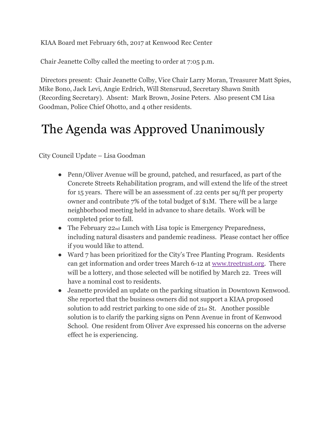KIAA Board met February 6th, 2017 at Kenwood Rec Center

Chair Jeanette Colby called the meeting to order at 7:05 p.m.

 Directors present: Chair Jeanette Colby, Vice Chair Larry Moran, Treasurer Matt Spies, Mike Bono, Jack Levi, Angie Erdrich, Will Stensruud, Secretary Shawn Smith (Recording Secretary). Absent: Mark Brown, Josine Peters. Also present CM Lisa Goodman, Police Chief Ohotto, and 4 other residents.

### The Agenda was Approved Unanimously

City Council Update – Lisa Goodman

- Penn/Oliver Avenue will be ground, patched, and resurfaced, as part of the Concrete Streets Rehabilitation program, and will extend the life of the street for 15 years. There will be an assessment of .22 cents per sq/ft per property owner and contribute 7% of the total budget of \$1M. There will be a large neighborhood meeting held in advance to share details. Work will be completed prior to fall.
- The February  $22<sub>nd</sub>$  Lunch with Lisa topic is Emergency Preparedness, including natural disasters and pandemic readiness. Please contact her office if you would like to attend.
- Ward 7 has been prioritized for the City's Tree Planting Program. Residents can get information and order trees March 6-12 at [www.treetrust.org.](http://www.treetrust.org/) There will be a lottery, and those selected will be notified by March 22. Trees will have a nominal cost to residents.
- Jeanette provided an update on the parking situation in Downtown Kenwood. She reported that the business owners did not support a KIAA proposed solution to add restrict parking to one side of 21st St. Another possible solution is to clarify the parking signs on Penn Avenue in front of Kenwood School. One resident from Oliver Ave expressed his concerns on the adverse effect he is experiencing.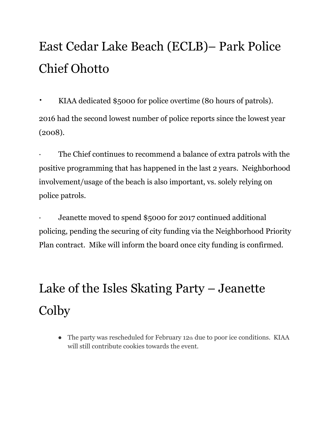## East Cedar Lake Beach (ECLB)– Park Police Chief Ohotto

· KIAA dedicated \$5000 for police overtime (80 hours of patrols). 2016 had the second lowest number of police reports since the lowest year (2008).

The Chief continues to recommend a balance of extra patrols with the positive programming that has happened in the last 2 years. Neighborhood involvement/usage of the beach is also important, vs. solely relying on police patrols.

Jeanette moved to spend \$5000 for 2017 continued additional policing, pending the securing of city funding via the Neighborhood Priority Plan contract. Mike will inform the board once city funding is confirmed.

## Lake of the Isles Skating Party – Jeanette Colby

• The party was rescheduled for February 12th due to poor ice conditions. KIAA will still contribute cookies towards the event.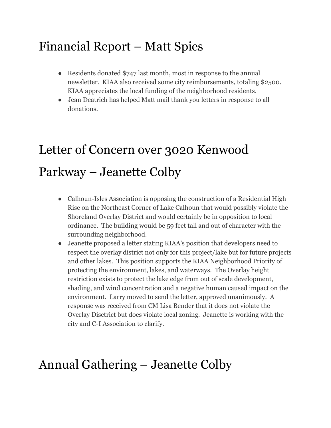### Financial Report – Matt Spies

- Residents donated \$747 last month, most in response to the annual newsletter. KIAA also received some city reimbursements, totaling \$2500. KIAA appreciates the local funding of the neighborhood residents.
- Jean Deatrich has helped Matt mail thank you letters in response to all donations.

## Letter of Concern over 3020 Kenwood Parkway – Jeanette Colby

- Calhoun-Isles Association is opposing the construction of a Residential High Rise on the Northeast Corner of Lake Calhoun that would possibly violate the Shoreland Overlay District and would certainly be in opposition to local ordinance. The building would be 59 feet tall and out of character with the surrounding neighborhood.
- Jeanette proposed a letter stating KIAA's position that developers need to respect the overlay district not only for this project/lake but for future projects and other lakes. This position supports the KIAA Neighborhood Priority of protecting the environment, lakes, and waterways. The Overlay height restriction exists to protect the lake edge from out of scale development, shading, and wind concentration and a negative human caused impact on the environment. Larry moved to send the letter, approved unanimously. A response was received from CM Lisa Bender that it does not violate the Overlay Disctrict but does violate local zoning. Jeanette is working with the city and C-I Association to clarify.

### Annual Gathering – Jeanette Colby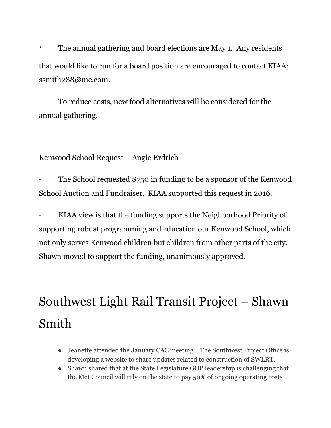The annual gathering and board elections are May 1. Any residents that would like to run for a board position are encouraged to contact KIAA; ssmith288@me.com.

· To reduce costs, new food alternatives will be considered for the annual gathering.

Kenwood School Request – Angie Erdrich

The School requested \$750 in funding to be a sponsor of the Kenwood School Auction and Fundraiser. KIAA supported this request in 2016.

· KIAA view is that the funding supports the Neighborhood Priority of supporting robust programming and education our Kenwood School, which not only serves Kenwood children but children from other parts of the city. Shawn moved to support the funding, unanimously approved.

## Southwest Light Rail Transit Project – Shawn Smith

- Jeanette attended the January CAC meeting. The Southwest Project Office is developing a website to share updates related to construction of SWLRT.
- Shawn shared that at the State Legislature GOP leadership is challenging that the Met Council will rely on the state to pay 50% of ongoing operating costs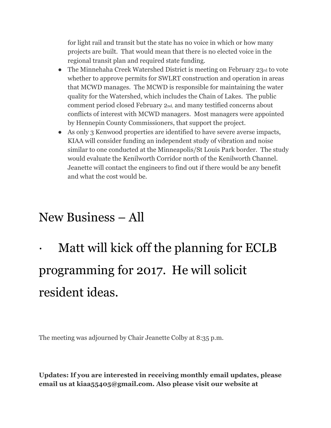for light rail and transit but the state has no voice in which or how many projects are built. That would mean that there is no elected voice in the regional transit plan and required state funding.

- The Minnehaha Creek Watershed District is meeting on February 23rd to vote whether to approve permits for SWLRT construction and operation in areas that MCWD manages. The MCWD is responsible for maintaining the water quality for the Watershed, which includes the Chain of Lakes. The public comment period closed February 2nd, and many testified concerns about conflicts of interest with MCWD managers. Most managers were appointed by Hennepin County Commissioners, that support the project.
- As only 3 Kenwood properties are identified to have severe averse impacts, KIAA will consider funding an independent study of vibration and noise similar to one conducted at the Minneapolis/St Louis Park border. The study would evaluate the Kenilworth Corridor north of the Kenilworth Channel. Jeanette will contact the engineers to find out if there would be any benefit and what the cost would be.

### New Business – All

Matt will kick off the planning for ECLB programming for 2017. He will solicit resident ideas.

The meeting was adjourned by Chair Jeanette Colby at 8:35 p.m.

**Updates: If you are interested in receiving monthly email updates, please email us at kiaa55405@gmail.com. Also please visit our website at**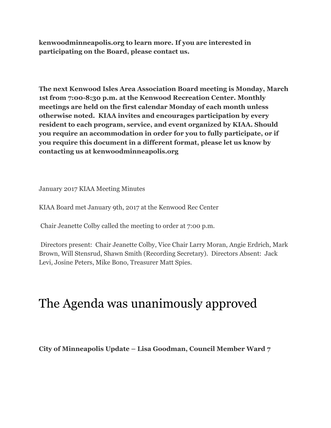**kenwoodminneapolis.org to learn more. If you are interested in participating on the Board, please contact us.**

**The next Kenwood Isles Area Association Board meeting is Monday, March 1st from 7:00-8:30 p.m. at the Kenwood Recreation Center. Monthly meetings are held on the first calendar Monday of each month unless otherwise noted. KIAA invites and encourages participation by every resident to each program, service, and event organized by KIAA. Should you require an accommodation in order for you to fully participate, or if you require this document in a different format, please let us know by contacting us at kenwoodminneapolis.org**

January 2017 KIAA Meeting Minutes

KIAA Board met January 9th, 2017 at the Kenwood Rec Center

Chair Jeanette Colby called the meeting to order at 7:00 p.m.

 Directors present: Chair Jeanette Colby, Vice Chair Larry Moran, Angie Erdrich, Mark Brown, Will Stensrud, Shawn Smith (Recording Secretary). Directors Absent: Jack Levi, Josine Peters, Mike Bono, Treasurer Matt Spies.

### The Agenda was unanimously approved

**City of Minneapolis Update – Lisa Goodman, Council Member Ward 7**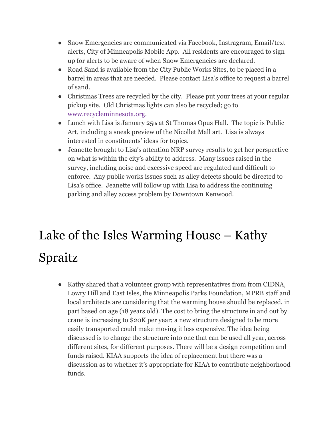- Snow Emergencies are communicated via Facebook, Instragram, Email/text alerts, City of Minneapolis Mobile App. All residents are encouraged to sign up for alerts to be aware of when Snow Emergencies are declared.
- Road Sand is available from the City Public Works Sites, to be placed in a barrel in areas that are needed. Please contact Lisa's office to request a barrel of sand.
- Christmas Trees are recycled by the city. Please put your trees at your regular pickup site. Old Christmas lights can also be recycled; go to [www.recycleminnesota.org](http://www.recycleminnesota.org/).
- Lunch with Lisa is January  $25<sub>th</sub>$  at St Thomas Opus Hall. The topic is Public Art, including a sneak preview of the Nicollet Mall art. Lisa is always interested in constituents' ideas for topics.
- Jeanette brought to Lisa's attention NRP survey results to get her perspective on what is within the city's ability to address. Many issues raised in the survey, including noise and excessive speed are regulated and difficult to enforce. Any public works issues such as alley defects should be directed to Lisa's office. Jeanette will follow up with Lisa to address the continuing parking and alley access problem by Downtown Kenwood.

## Lake of the Isles Warming House – Kathy Spraitz

● Kathy shared that a volunteer group with representatives from from CIDNA, Lowry Hill and East Isles, the Minneapolis Parks Foundation, MPRB staff and local architects are considering that the warming house should be replaced, in part based on age (18 years old). The cost to bring the structure in and out by crane is increasing to \$20K per year; a new structure designed to be more easily transported could make moving it less expensive. The idea being discussed is to change the structure into one that can be used all year, across different sites, for different purposes. There will be a design competition and funds raised. KIAA supports the idea of replacement but there was a discussion as to whether it's appropriate for KIAA to contribute neighborhood funds.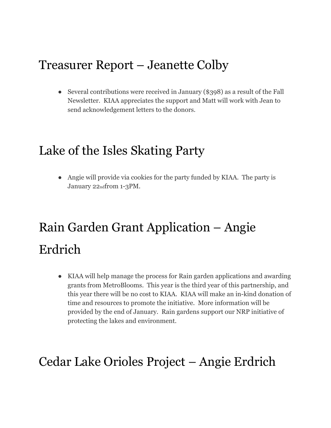### Treasurer Report – Jeanette Colby

• Several contributions were received in January (\$398) as a result of the Fall Newsletter. KIAA appreciates the support and Matt will work with Jean to send acknowledgement letters to the donors.

### Lake of the Isles Skating Party

• Angie will provide via cookies for the party funded by KIAA. The party is January 22ndfrom 1-3PM.

## Rain Garden Grant Application – Angie Erdrich

● KIAA will help manage the process for Rain garden applications and awarding grants from MetroBlooms. This year is the third year of this partnership, and this year there will be no cost to KIAA. KIAA will make an in-kind donation of time and resources to promote the initiative. More information will be provided by the end of January. Rain gardens support our NRP initiative of protecting the lakes and environment.

### Cedar Lake Orioles Project – Angie Erdrich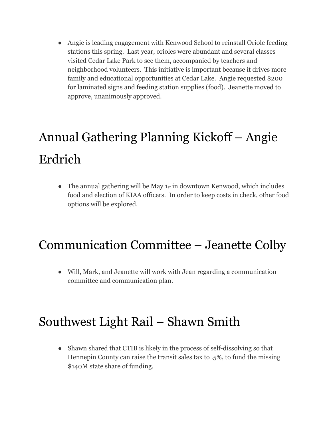● Angie is leading engagement with Kenwood School to reinstall Oriole feeding stations this spring. Last year, orioles were abundant and several classes visited Cedar Lake Park to see them, accompanied by teachers and neighborhood volunteers. This initiative is important because it drives more family and educational opportunities at Cedar Lake. Angie requested \$200 for laminated signs and feeding station supplies (food). Jeanette moved to approve, unanimously approved.

## Annual Gathering Planning Kickoff – Angie Erdrich

• The annual gathering will be May 1st in downtown Kenwood, which includes food and election of KIAA officers. In order to keep costs in check, other food options will be explored.

### Communication Committee – Jeanette Colby

● Will, Mark, and Jeanette will work with Jean regarding a communication committee and communication plan.

### Southwest Light Rail – Shawn Smith

• Shawn shared that CTIB is likely in the process of self-dissolving so that Hennepin County can raise the transit sales tax to .5%, to fund the missing \$140M state share of funding.